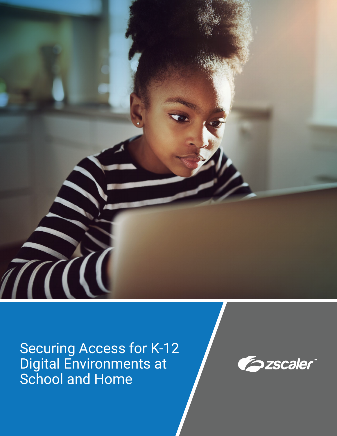

Securing Access for K-12 Digital Environments at School and Home

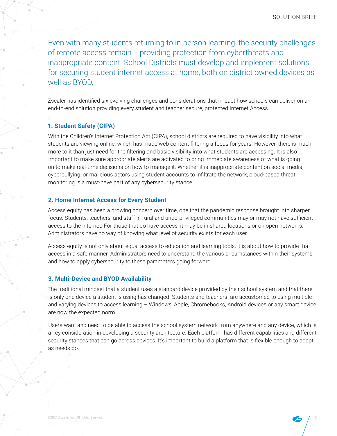Even with many students returning to in-person learning, the security challenges of remote access remain -- providing protection from cyberthreats and inappropriate content. School Districts must develop and implement solutions for securing student internet access at home, both on district owned devices as well as BYOD.

Zscaler has identified six evolving challenges and considerations that impact how schools can deliver on an end-to-end solution providing every student and teacher secure, protected Internet Access.

## **1. Student Safety (CIPA)**

With the Children's Internet Protection Act (CIPA), school districts are required to have visibility into what students are viewing online, which has made web content filtering a focus for years. However, there is much more to it than just need for the filtering and basic visibility into what students are accessing. It is also important to make sure appropriate alerts are activated to bring immediate awareness of what is going on to make real-time decisions on how to manage it. Whether it is inappropriate content on social media, cyberbullying, or malicious actors using student accounts to infiltrate the network, cloud-based threat monitoring is a must-have part of any cybersecurity stance.

### **2. Home Internet Access for Every Student**

Access equity has been a growing concern over time, one that the pandemic response brought into sharper focus. Students, teachers, and staff in rural and underprivileged communities may or may not have sufficient access to the internet. For those that do have access, it may be in shared locations or on open networks. Administrators have no way of knowing what level of security exists for each user.

Access equity is not only about equal access to education and learning tools, it is about how to provide that access in a safe manner. Administrators need to understand the various circumstances within their systems and how to apply cybersecurity to these parameters going forward.

## **3. Multi-Device and BYOD Availability**

The traditional mindset that a student uses a standard device provided by their school system and that there is only one device a student is using has changed. Students and teachers are accustomed to using multiple and varying devices to access learning – Windows, Apple, Chromebooks, Android devices or any smart device are now the expected norm.

Users want and need to be able to access the school system network from anywhere and any device, which is a key consideration in developing a security architecture. Each platform has different capabilities and different security stances that can go across devices. It's important to build a platform that is flexible enough to adapt as needs do.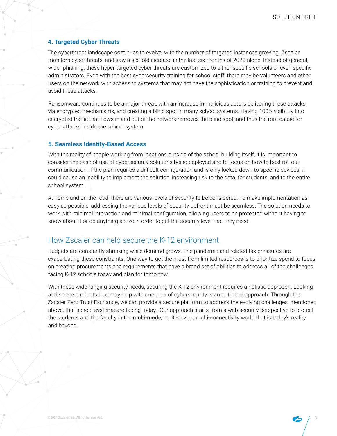## **4. Targeted Cyber Threats**

The cyberthreat landscape continues to evolve, with the number of targeted instances growing. Zscaler monitors cyberthreats, and saw a six-fold increase in the last six months of 2020 alone. Instead of general, wider phishing, these hyper-targeted cyber threats are customized to either specific schools or even specific administrators. Even with the best cybersecurity training for school staff, there may be volunteers and other users on the network with access to systems that may not have the sophistication or training to prevent and avoid these attacks.

Ransomware continues to be a major threat, with an increase in malicious actors delivering these attacks via encrypted mechanisms, and creating a blind spot in many school systems. Having 100% visibility into encrypted traffic that flows in and out of the network removes the blind spot, and thus the root cause for cyber attacks inside the school system.

### **5. Seamless Identity-Based Access**

With the reality of people working from locations outside of the school building itself, it is important to consider the ease of use of cybersecurity solutions being deployed and to focus on how to best roll out communication. If the plan requires a difficult configuration and is only locked down to specific devices, it could cause an inability to implement the solution, increasing risk to the data, for students, and to the entire school system.

At home and on the road, there are various levels of security to be considered. To make implementation as easy as possible, addressing the various levels of security upfront must be seamless. The solution needs to work with minimal interaction and minimal configuration, allowing users to be protected without having to know about it or do anything active in order to get the security level that they need.

## How Zscaler can help secure the K-12 environment

Budgets are constantly shrinking while demand grows. The pandemic and related tax pressures are exacerbating these constraints. One way to get the most from limited resources is to prioritize spend to focus on creating procurements and requirements that have a broad set of abilities to address all of the challenges facing K-12 schools today and plan for tomorrow.

With these wide ranging security needs, securing the K-12 environment requires a holistic approach. Looking at discrete products that may help with one area of cybersecurity is an outdated approach. Through the Zscaler Zero Trust Exchange, we can provide a secure platform to address the evolving challenges, mentioned above, that school systems are facing today. Our approach starts from a web security perspective to protect the students and the faculty in the multi-mode, multi-device, multi-connectivity world that is today's reality and beyond.